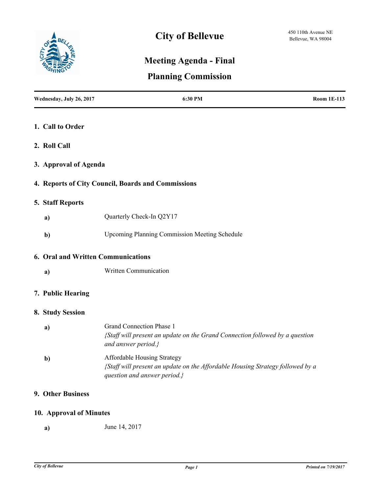

# **Meeting Agenda - Final**

# **Planning Commission**

| Wednesday, July 26, 2017           | 6:30 PM                                                                                                                                       | <b>Room 1E-113</b> |
|------------------------------------|-----------------------------------------------------------------------------------------------------------------------------------------------|--------------------|
| 1. Call to Order                   |                                                                                                                                               |                    |
| 2. Roll Call                       |                                                                                                                                               |                    |
| 3. Approval of Agenda              |                                                                                                                                               |                    |
|                                    | 4. Reports of City Council, Boards and Commissions                                                                                            |                    |
| 5. Staff Reports                   |                                                                                                                                               |                    |
| a)                                 | Quarterly Check-In Q2Y17                                                                                                                      |                    |
| $\mathbf{b}$                       | <b>Upcoming Planning Commission Meeting Schedule</b>                                                                                          |                    |
| 6. Oral and Written Communications |                                                                                                                                               |                    |
| a)                                 | Written Communication                                                                                                                         |                    |
| 7. Public Hearing                  |                                                                                                                                               |                    |
| 8. Study Session                   |                                                                                                                                               |                    |
| a)                                 | Grand Connection Phase 1<br>{Staff will present an update on the Grand Connection followed by a question<br>and answer period.}               |                    |
| $\mathbf{b}$                       | Affordable Housing Strategy<br>{Staff will present an update on the Affordable Housing Strategy followed by a<br>question and answer period.} |                    |
| 9. Other Business                  |                                                                                                                                               |                    |
| 10. Approval of Minutes            |                                                                                                                                               |                    |

**a)** June 14, 2017